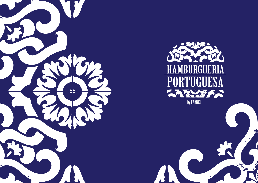



Like a